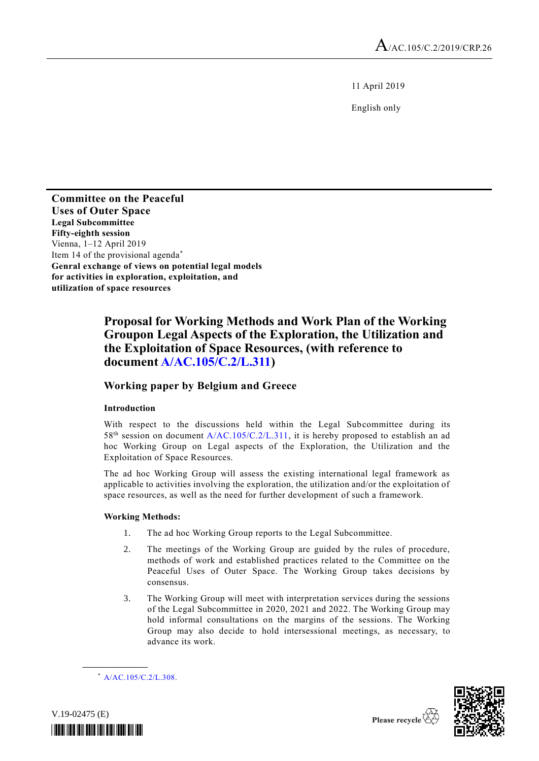11 April 2019

English only

**Committee on the Peaceful Uses of Outer Space Legal Subcommittee Fifty-eighth session** Vienna, 1–12 April 2019 Item 14 of the provisional agenda\* **Genral exchange of views on potential legal models for activities in exploration, exploitation, and utilization of space resources**

# **Proposal for Working Methods and Work Plan of the Working Groupon Legal Aspects of the Exploration, the Utilization and the Exploitation of Space Resources, (with reference to documen[t A/AC.105/C.2/L.311\)](http://undocs.org/A/AC.105/C.2/L.311)**

## **Working paper by Belgium and Greece**

### **Introduction**

With respect to the discussions held within the Legal Subcommittee during its 58<sup>th</sup> session on document [A/AC.105/C.2/L.311,](http://undocs.org/A/AC.105/C.2/L.311) it is hereby proposed to establish an ad hoc Working Group on Legal aspects of the Exploration, the Utilization and the Exploitation of Space Resources.

The ad hoc Working Group will assess the existing international legal framework as applicable to activities involving the exploration, the utilization and/or the exploitation of space resources, as well as the need for further development of such a framework.

#### **Working Methods:**

- 1. The ad hoc Working Group reports to the Legal Subcommittee.
- 2. The meetings of the Working Group are guided by the rules of procedure, methods of work and established practices related to the Committee on the Peaceful Uses of Outer Space. The Working Group takes decisions by consensus.
- 3. The Working Group will meet with interpretation services during the sessions of the Legal Subcommittee in 2020, 2021 and 2022. The Working Group may hold informal consultations on the margins of the sessions. The Working Group may also decide to hold intersessional meetings, as necessary, to advance its work.

**\_\_\_\_\_\_\_\_\_\_\_\_\_\_\_\_\_\_**





<sup>\*</sup> [A/AC.105/C.2/L.308.](http://undocs.org/A/AC.105/C.2/L.308)